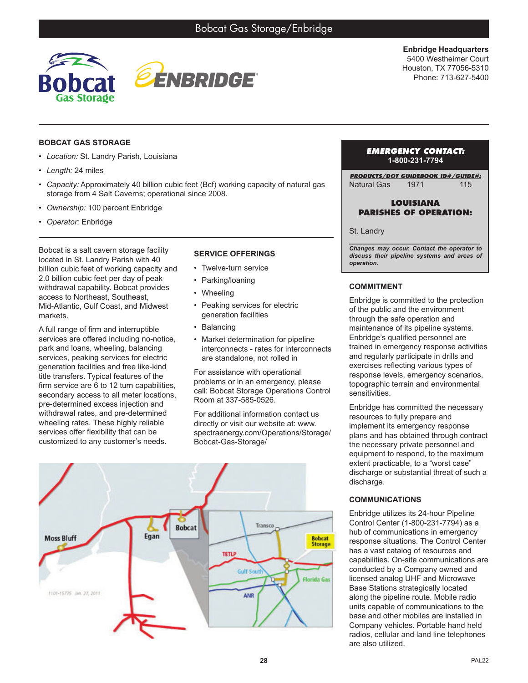

**Enbridge Headquarters** 5400 Westheimer Court Houston, TX 77056-5310 Phone: 713-627-5400

## **BOBCAT GAS STORAGE**

- *• Location:* St. Landry Parish, Louisiana
- *• Length:* 24 miles
- *• Capacity:* Approximately 40 billion cubic feet (Bcf) working capacity of natural gas storage from 4 Salt Caverns; operational since 2008.
- *• Ownership:* 100 percent Enbridge
- *• Operator:* Enbridge

Bobcat is a salt cavern storage facility located in St. Landry Parish with 40 billion cubic feet of working capacity and 2.0 billion cubic feet per day of peak withdrawal capability. Bobcat provides access to Northeast, Southeast, Mid-Atlantic, Gulf Coast, and Midwest markets.

A full range of firm and interruptible services are offered including no-notice, park and loans, wheeling, balancing services, peaking services for electric generation facilities and free like-kind title transfers. Typical features of the firm service are 6 to 12 turn capabilities, secondary access to all meter locations, pre-determined excess injection and withdrawal rates, and pre-determined wheeling rates. These highly reliable services offer flexibility that can be customized to any customer's needs.

# **SERVICE OFFERINGS**

- Twelve-turn service
- Parking/loaning
- Wheeling
- Peaking services for electric generation facilities
- **Balancing**
- Market determination for pipeline interconnects - rates for interconnects are standalone, not rolled in

For assistance with operational problems or in an emergency, please call: Bobcat Storage Operations Control Room at 337-585-0526.

For additional information contact us directly or visit our website at: www. spectraenergy.com/Operations/Storage/ Bobcat-Gas-Storage/



#### *EMERGENCY CONTACT:* **1-800-231-7794**

*PRODUCTS/DOT GUIDEBOOK ID#/GUIDE#:* Natural Gas 1971 115

## **LOUISIANA PARISHES OF OPERATION:**

#### St. Landry

*\_\_\_\_\_\_\_\_\_\_\_\_\_\_\_\_\_\_\_\_\_\_\_\_\_\_\_\_\_\_\_\_\_\_\_\_\_\_\_ Changes may occur. Contact the operator to discuss their pipeline systems and areas of operation.*

# **COMMITMENT**

Enbridge is committed to the protection of the public and the environment through the safe operation and maintenance of its pipeline systems. Enbridge's qualified personnel are trained in emergency response activities and regularly participate in drills and exercises reflecting various types of response levels, emergency scenarios, topographic terrain and environmental sensitivities.

Enbridge has committed the necessary resources to fully prepare and implement its emergency response plans and has obtained through contract the necessary private personnel and equipment to respond, to the maximum extent practicable, to a "worst case" discharge or substantial threat of such a discharge.

## **COMMUNICATIONS**

Enbridge utilizes its 24-hour Pipeline Control Center (1-800-231-7794) as a hub of communications in emergency response situations. The Control Center has a vast catalog of resources and capabilities. On-site communications are conducted by a Company owned and licensed analog UHF and Microwave Base Stations strategically located along the pipeline route. Mobile radio units capable of communications to the base and other mobiles are installed in Company vehicles. Portable hand held radios, cellular and land line telephones are also utilized.